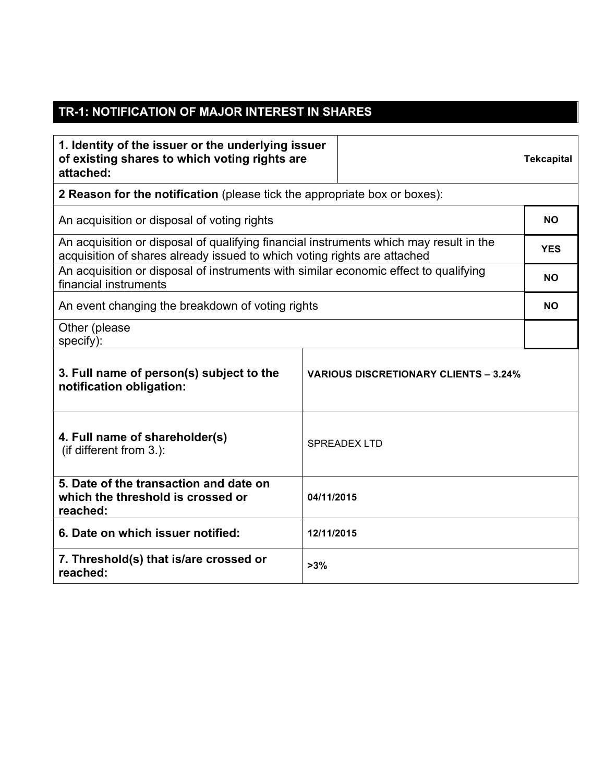## **TR-1: NOTIFICATION OF MAJOR INTEREST IN SHARES**

| 1. Identity of the issuer or the underlying issuer<br>of existing shares to which voting rights are<br>attached:                                                   |            |                                              | <b>Tekcapital</b> |  |
|--------------------------------------------------------------------------------------------------------------------------------------------------------------------|------------|----------------------------------------------|-------------------|--|
| 2 Reason for the notification (please tick the appropriate box or boxes):                                                                                          |            |                                              |                   |  |
| An acquisition or disposal of voting rights                                                                                                                        |            |                                              |                   |  |
| An acquisition or disposal of qualifying financial instruments which may result in the<br>acquisition of shares already issued to which voting rights are attached |            |                                              |                   |  |
| An acquisition or disposal of instruments with similar economic effect to qualifying<br>financial instruments                                                      |            |                                              | <b>NO</b>         |  |
| An event changing the breakdown of voting rights                                                                                                                   |            |                                              |                   |  |
| Other (please<br>specify):                                                                                                                                         |            |                                              |                   |  |
| 3. Full name of person(s) subject to the<br>notification obligation:                                                                                               |            | <b>VARIOUS DISCRETIONARY CLIENTS - 3.24%</b> |                   |  |
| 4. Full name of shareholder(s)<br>(if different from 3.):                                                                                                          |            | <b>SPREADEX LTD</b>                          |                   |  |
| 5. Date of the transaction and date on<br>which the threshold is crossed or<br>reached:                                                                            | 04/11/2015 |                                              |                   |  |
| 6. Date on which issuer notified:                                                                                                                                  | 12/11/2015 |                                              |                   |  |
| 7. Threshold(s) that is/are crossed or<br>reached:                                                                                                                 | >3%        |                                              |                   |  |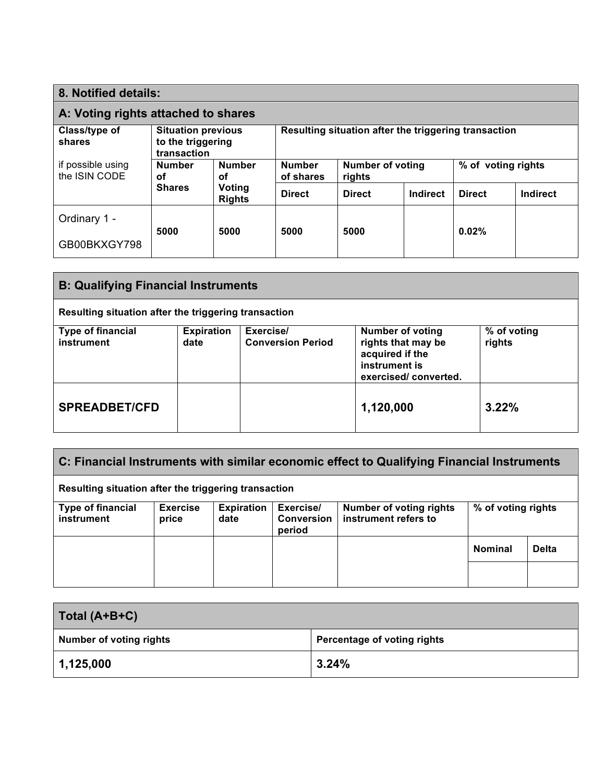| 8. Notified details:                |                                                               |                         |                                                      |                                   |          |               |                    |  |
|-------------------------------------|---------------------------------------------------------------|-------------------------|------------------------------------------------------|-----------------------------------|----------|---------------|--------------------|--|
| A: Voting rights attached to shares |                                                               |                         |                                                      |                                   |          |               |                    |  |
| Class/type of<br>shares             | <b>Situation previous</b><br>to the triggering<br>transaction |                         | Resulting situation after the triggering transaction |                                   |          |               |                    |  |
| if possible using<br>the ISIN CODE  | <b>Number</b><br><b>Number</b><br>οf<br>οf                    |                         | <b>Number</b><br>of shares                           | <b>Number of voting</b><br>rights |          |               | % of voting rights |  |
|                                     | <b>Shares</b>                                                 | Voting<br><b>Rights</b> | <b>Direct</b>                                        | <b>Direct</b>                     | Indirect | <b>Direct</b> | Indirect           |  |
| Ordinary 1 -                        |                                                               | 5000                    |                                                      |                                   |          |               |                    |  |
| GB00BKXGY798                        | 5000                                                          |                         | 5000                                                 | 5000                              |          | 0.02%         |                    |  |

| <b>B: Qualifying Financial Instruments</b>           |                           |                                       |                                                                                                           |                       |  |
|------------------------------------------------------|---------------------------|---------------------------------------|-----------------------------------------------------------------------------------------------------------|-----------------------|--|
| Resulting situation after the triggering transaction |                           |                                       |                                                                                                           |                       |  |
| <b>Type of financial</b><br>instrument               | <b>Expiration</b><br>date | Exercise/<br><b>Conversion Period</b> | <b>Number of voting</b><br>rights that may be<br>acquired if the<br>instrument is<br>exercised/converted. | % of voting<br>rights |  |
| <b>SPREADBET/CFD</b>                                 |                           |                                       | 1,120,000                                                                                                 | 3.22%                 |  |

| C: Financial Instruments with similar economic effect to Qualifying Financial Instruments |                          |                           |                                          |                                                        |                    |              |
|-------------------------------------------------------------------------------------------|--------------------------|---------------------------|------------------------------------------|--------------------------------------------------------|--------------------|--------------|
| Resulting situation after the triggering transaction                                      |                          |                           |                                          |                                                        |                    |              |
| <b>Type of financial</b><br>instrument                                                    | <b>Exercise</b><br>price | <b>Expiration</b><br>date | Exercise/<br><b>Conversion</b><br>period | <b>Number of voting rights</b><br>instrument refers to | % of voting rights |              |
|                                                                                           |                          |                           |                                          |                                                        | <b>Nominal</b>     | <b>Delta</b> |
|                                                                                           |                          |                           |                                          |                                                        |                    |              |

| Total (A+B+C)                  |                             |
|--------------------------------|-----------------------------|
| <b>Number of voting rights</b> | Percentage of voting rights |
| 1,125,000                      | 3.24%                       |